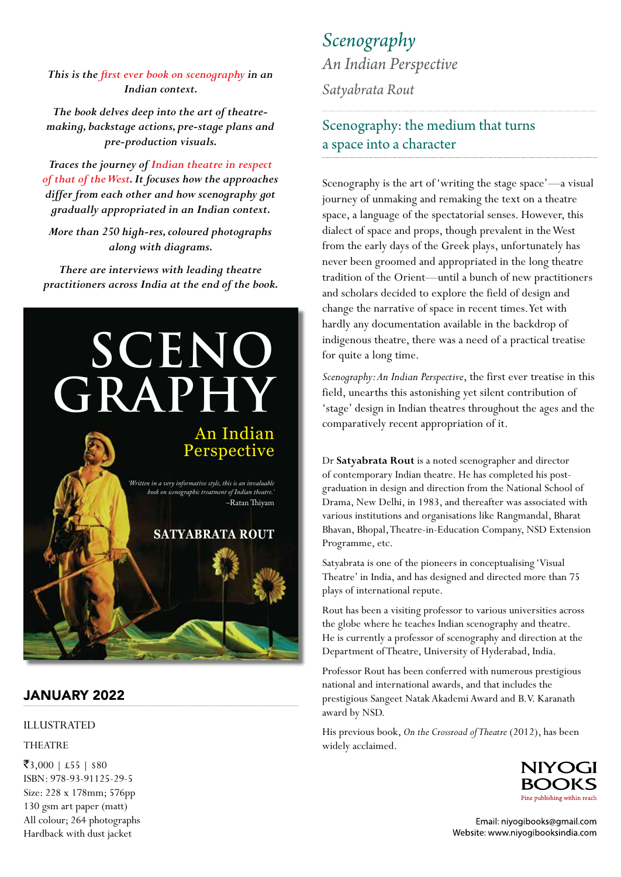## *This is the first ever book on scenography in an Indian context.*

*The book delves deep into the art of theatremaking, backstage actions, pre-stage plans and pre-production visuals.*

*Traces the journey of Indian theatre in respect of that of the West. It focuses how the approaches differ from each other and how scenography got gradually appropriated in an Indian context.*

*More than 250 high-res, coloured photographs along with diagrams.*

*There are interviews with leading theatre practitioners across India at the end of the book.*



## JANUARY 2022

## ILLUSTRATED

THEATRE

 $\overline{\textbf{3}}$ ,000 | £55 | \$80 ISBN: 978-93-91125-29-5 Size: 228 x 178mm; 576pp 130 gsm art paper (matt) All colour; 264 photographs Hardback with dust jacket

*Scenography An Indian Perspective*

*Satyabrata Rout*

## Scenography: the medium that turns a space into a character

Scenography is the art of 'writing the stage space'—a visual journey of unmaking and remaking the text on a theatre space, a language of the spectatorial senses. However, this dialect of space and props, though prevalent in the West from the early days of the Greek plays, unfortunately has never been groomed and appropriated in the long theatre tradition of the Orient—until a bunch of new practitioners and scholars decided to explore the field of design and change the narrative of space in recent times. Yet with hardly any documentation available in the backdrop of indigenous theatre, there was a need of a practical treatise for quite a long time.

Scenography: An Indian Perspective, the first ever treatise in this field, unearths this astonishing yet silent contribution of 'stage' design in Indian theatres throughout the ages and the comparatively recent appropriation of it.

Dr Satyabrata Rout is a noted scenographer and director of contemporary Indian theatre. He has completed his postgraduation in design and direction from the National School of Drama, New Delhi, in 1983, and thereafter was associated with various institutions and organisations like Rangmandal, Bharat Bhavan, Bhopal, Theatre-in-Education Company, NSD Extension Programme, etc.

Satyabrata is one of the pioneers in conceptualising 'Visual Theatre' in India, and has designed and directed more than 75 plays of international repute.

Rout has been a visiting professor to various universities across the globe where he teaches Indian scenography and theatre. He is currently a professor of scenography and direction at the Department of Theatre, University of Hyderabad, India.

Professor Rout has been conferred with numerous prestigious national and international awards, and that includes the prestigious Sangeet Natak Akademi Award and B.V. Karanath award by NSD.

His previous book, *On the Crossroad of Theatre* (2012), has been widely acclaimed.



Email: niyogibooks@gmail.com Website: www.niyogibooksindia.com